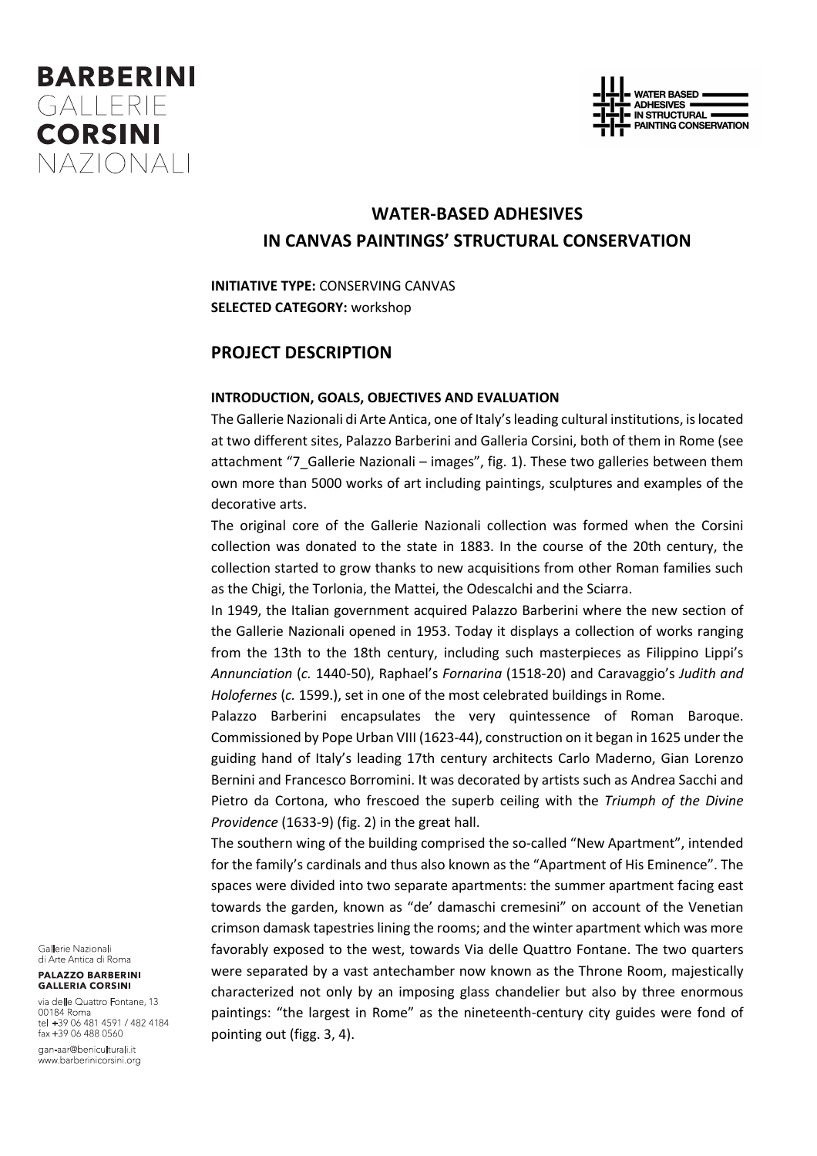



# **WATER-BASED ADHESIVES IN CANVAS PAINTINGS' STRUCTURAL CONSERVATION**

**INITIATIVE TYPE:** CONSERVING CANVAS **SELECTED CATEGORY:** workshop

# **PROJECT DESCRIPTION**

### **INTRODUCTION, GOALS, OBJECTIVES AND EVALUATION**

The Gallerie Nazionali di Arte Antica, one of Italy's leading cultural institutions, is located at two different sites, Palazzo Barberini and Galleria Corsini, both of them in Rome (see attachment "7\_Gallerie Nazionali – images", fig. 1). These two galleries between them own more than 5000 works of art including paintings, sculptures and examples of the decorative arts.

The original core of the Gallerie Nazionali collection was formed when the Corsini collection was donated to the state in 1883. In the course of the 20th century, the collection started to grow thanks to new acquisitions from other Roman families such as the Chigi, the Torlonia, the Mattei, the Odescalchi and the Sciarra.

In 1949, the Italian government acquired Palazzo Barberini where the new section of the Gallerie Nazionali opened in 1953. Today it displays a collection of works ranging from the 13th to the 18th century, including such masterpieces as Filippino Lippi's *Annunciation* (*c.* 1440-50), Raphael's *Fornarina* (1518-20) and Caravaggio's *Judith and Holofernes* (*c.* 1599.), set in one of the most celebrated buildings in Rome.

Palazzo Barberini encapsulates the very quintessence of Roman Baroque. Commissioned by Pope Urban VIII (1623-44), construction on it began in 1625 under the guiding hand of Italy's leading 17th century architects Carlo Maderno, Gian Lorenzo Bernini and Francesco Borromini. It was decorated by artists such as Andrea Sacchi and Pietro da Cortona, who frescoed the superb ceiling with the *Triumph of the Divine Providence* (1633-9) (fig. 2) in the great hall.

The southern wing of the building comprised the so-called "New Apartment", intended for the family's cardinals and thus also known as the "Apartment of His Eminence". The spaces were divided into two separate apartments: the summer apartment facing east towards the garden, known as "de' damaschi cremesini" on account of the Venetian crimson damask tapestries lining the rooms; and the winter apartment which was more favorably exposed to the west, towards Via delle Quattro Fontane. The two quarters were separated by a vast antechamber now known as the Throne Room, majestically characterized not only by an imposing glass chandelier but also by three enormous paintings: "the largest in Rome" as the nineteenth-century city guides were fond of pointing out (figg. 3, 4).

Gallerie Nazionali di Arte Antica di Roma **PALAZZO BARBERINI GALLERIA CORSINI** 

via delle Quattro Fontane, 13 00184 Roma<br>tel +39 06 481 4591 / 482 4184<br>fax +39 06 488 0560

gan-aar@beniculturali.it www.barberinicorsini.org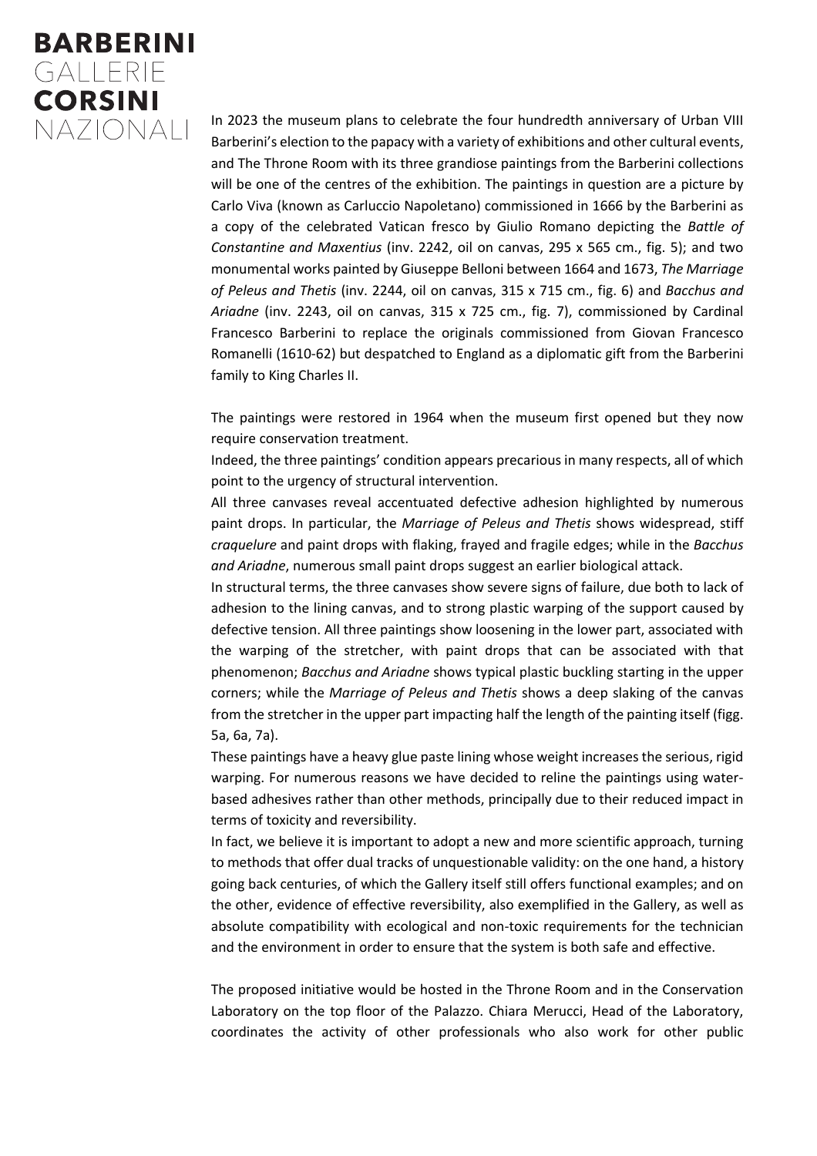

In 2023 the museum plans to celebrate the four hundredth anniversary of Urban VIII Barberini's election to the papacy with a variety of exhibitions and other cultural events, and The Throne Room with its three grandiose paintings from the Barberini collections will be one of the centres of the exhibition. The paintings in question are a picture by Carlo Viva (known as Carluccio Napoletano) commissioned in 1666 by the Barberini as a copy of the celebrated Vatican fresco by Giulio Romano depicting the *Battle of Constantine and Maxentius* (inv. 2242, oil on canvas, 295 x 565 cm., fig. 5); and two monumental works painted by Giuseppe Belloni between 1664 and 1673, *The Marriage of Peleus and Thetis* (inv. 2244, oil on canvas, 315 x 715 cm., fig. 6) and *Bacchus and Ariadne* (inv. 2243, oil on canvas, 315 x 725 cm., fig. 7), commissioned by Cardinal Francesco Barberini to replace the originals commissioned from Giovan Francesco Romanelli (1610-62) but despatched to England as a diplomatic gift from the Barberini family to King Charles II.

The paintings were restored in 1964 when the museum first opened but they now require conservation treatment.

Indeed, the three paintings' condition appears precarious in many respects, all of which point to the urgency of structural intervention.

All three canvases reveal accentuated defective adhesion highlighted by numerous paint drops. In particular, the *Marriage of Peleus and Thetis* shows widespread, stiff *craquelure* and paint drops with flaking, frayed and fragile edges; while in the *Bacchus and Ariadne*, numerous small paint drops suggest an earlier biological attack.

In structural terms, the three canvases show severe signs of failure, due both to lack of adhesion to the lining canvas, and to strong plastic warping of the support caused by defective tension. All three paintings show loosening in the lower part, associated with the warping of the stretcher, with paint drops that can be associated with that phenomenon; *Bacchus and Ariadne* shows typical plastic buckling starting in the upper corners; while the *Marriage of Peleus and Thetis* shows a deep slaking of the canvas from the stretcher in the upper part impacting half the length of the painting itself (figg. 5a, 6a, 7a).

These paintings have a heavy glue paste lining whose weight increases the serious, rigid warping. For numerous reasons we have decided to reline the paintings using waterbased adhesives rather than other methods, principally due to their reduced impact in terms of toxicity and reversibility.

In fact, we believe it is important to adopt a new and more scientific approach, turning to methods that offer dual tracks of unquestionable validity: on the one hand, a history going back centuries, of which the Gallery itself still offers functional examples; and on the other, evidence of effective reversibility, also exemplified in the Gallery, as well as absolute compatibility with ecological and non-toxic requirements for the technician and the environment in order to ensure that the system is both safe and effective.

The proposed initiative would be hosted in the Throne Room and in the Conservation Laboratory on the top floor of the Palazzo. Chiara Merucci, Head of the Laboratory, coordinates the activity of other professionals who also work for other public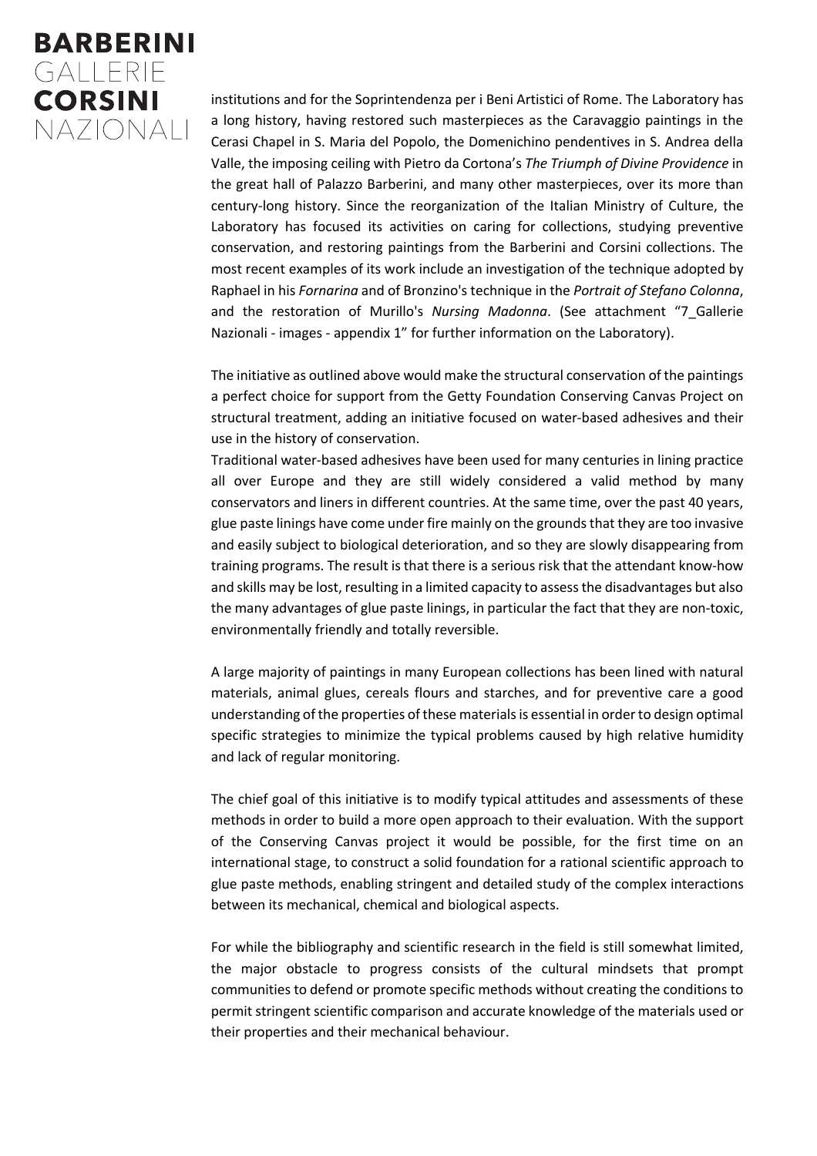

institutions and for the Soprintendenza per i Beni Artistici of Rome. The Laboratory has a long history, having restored such masterpieces as the Caravaggio paintings in the Cerasi Chapel in S. Maria del Popolo, the Domenichino pendentives in S. Andrea della Valle, the imposing ceiling with Pietro da Cortona's *The Triumph of Divine Providence* in the great hall of Palazzo Barberini, and many other masterpieces, over its more than century-long history. Since the reorganization of the Italian Ministry of Culture, the Laboratory has focused its activities on caring for collections, studying preventive conservation, and restoring paintings from the Barberini and Corsini collections. The most recent examples of its work include an investigation of the technique adopted by Raphael in his *Fornarina* and of Bronzino's technique in the *Portrait of Stefano Colonna*, and the restoration of Murillo's *Nursing Madonna*. (See attachment "7\_Gallerie Nazionali - images - appendix 1" for further information on the Laboratory).

The initiative as outlined above would make the structural conservation of the paintings a perfect choice for support from the Getty Foundation Conserving Canvas Project on structural treatment, adding an initiative focused on water-based adhesives and their use in the history of conservation.

Traditional water-based adhesives have been used for many centuries in lining practice all over Europe and they are still widely considered a valid method by many conservators and liners in different countries. At the same time, over the past 40 years, glue paste linings have come under fire mainly on the grounds that they are too invasive and easily subject to biological deterioration, and so they are slowly disappearing from training programs. The result is that there is a serious risk that the attendant know-how and skills may be lost, resulting in a limited capacity to assess the disadvantages but also the many advantages of glue paste linings, in particular the fact that they are non-toxic, environmentally friendly and totally reversible.

A large majority of paintings in many European collections has been lined with natural materials, animal glues, cereals flours and starches, and for preventive care a good understanding of the properties of these materials is essential in order to design optimal specific strategies to minimize the typical problems caused by high relative humidity and lack of regular monitoring.

The chief goal of this initiative is to modify typical attitudes and assessments of these methods in order to build a more open approach to their evaluation. With the support of the Conserving Canvas project it would be possible, for the first time on an international stage, to construct a solid foundation for a rational scientific approach to glue paste methods, enabling stringent and detailed study of the complex interactions between its mechanical, chemical and biological aspects.

For while the bibliography and scientific research in the field is still somewhat limited, the major obstacle to progress consists of the cultural mindsets that prompt communities to defend or promote specific methods without creating the conditions to permit stringent scientific comparison and accurate knowledge of the materials used or their properties and their mechanical behaviour.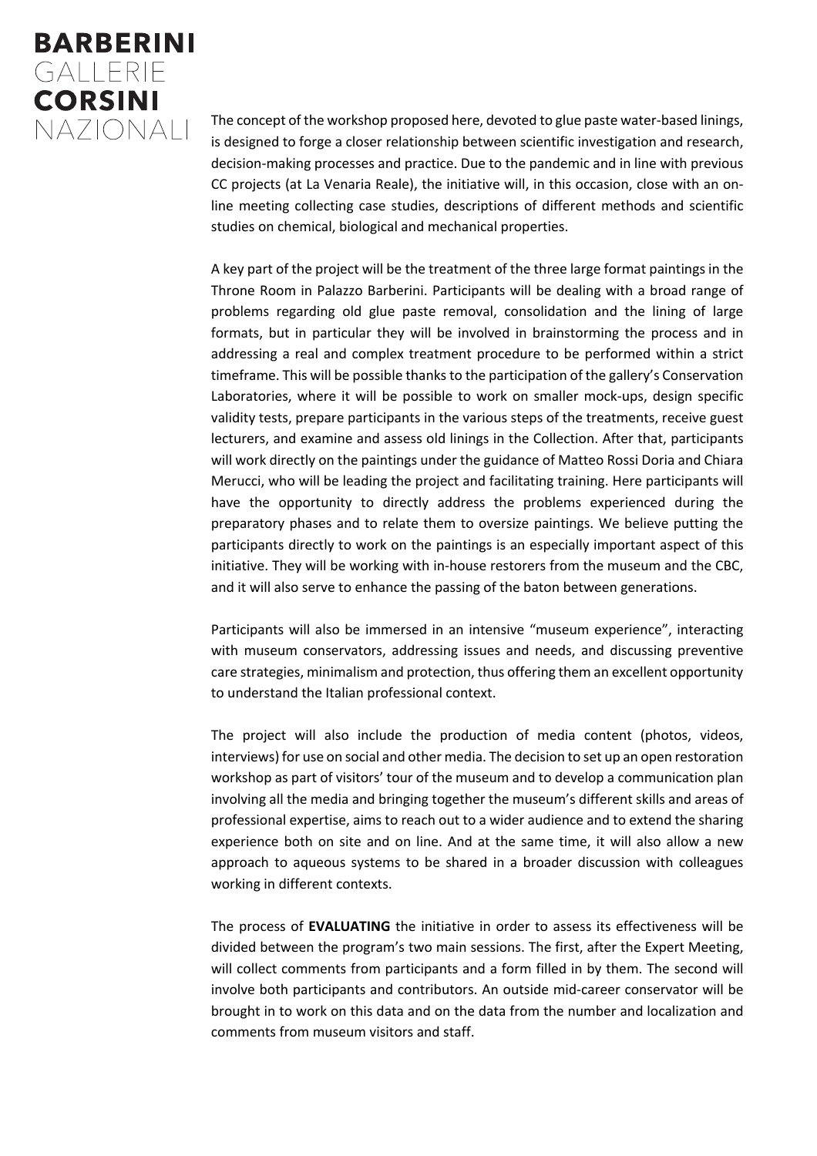

The concept of the workshop proposed here, devoted to glue paste water-based linings, is designed to forge a closer relationship between scientific investigation and research, decision-making processes and practice. Due to the pandemic and in line with previous CC projects (at La Venaria Reale), the initiative will, in this occasion, close with an online meeting collecting case studies, descriptions of different methods and scientific studies on chemical, biological and mechanical properties.

A key part of the project will be the treatment of the three large format paintings in the Throne Room in Palazzo Barberini. Participants will be dealing with a broad range of problems regarding old glue paste removal, consolidation and the lining of large formats, but in particular they will be involved in brainstorming the process and in addressing a real and complex treatment procedure to be performed within a strict timeframe. This will be possible thanks to the participation of the gallery's Conservation Laboratories, where it will be possible to work on smaller mock-ups, design specific validity tests, prepare participants in the various steps of the treatments, receive guest lecturers, and examine and assess old linings in the Collection. After that, participants will work directly on the paintings under the guidance of Matteo Rossi Doria and Chiara Merucci, who will be leading the project and facilitating training. Here participants will have the opportunity to directly address the problems experienced during the preparatory phases and to relate them to oversize paintings. We believe putting the participants directly to work on the paintings is an especially important aspect of this initiative. They will be working with in-house restorers from the museum and the CBC, and it will also serve to enhance the passing of the baton between generations.

Participants will also be immersed in an intensive "museum experience", interacting with museum conservators, addressing issues and needs, and discussing preventive care strategies, minimalism and protection, thus offering them an excellent opportunity to understand the Italian professional context.

The project will also include the production of media content (photos, videos, interviews) for use on social and other media. The decision to set up an open restoration workshop as part of visitors' tour of the museum and to develop a communication plan involving all the media and bringing together the museum's different skills and areas of professional expertise, aims to reach out to a wider audience and to extend the sharing experience both on site and on line. And at the same time, it will also allow a new approach to aqueous systems to be shared in a broader discussion with colleagues working in different contexts.

The process of **EVALUATING** the initiative in order to assess its effectiveness will be divided between the program's two main sessions. The first, after the Expert Meeting, will collect comments from participants and a form filled in by them. The second will involve both participants and contributors. An outside mid-career conservator will be brought in to work on this data and on the data from the number and localization and comments from museum visitors and staff.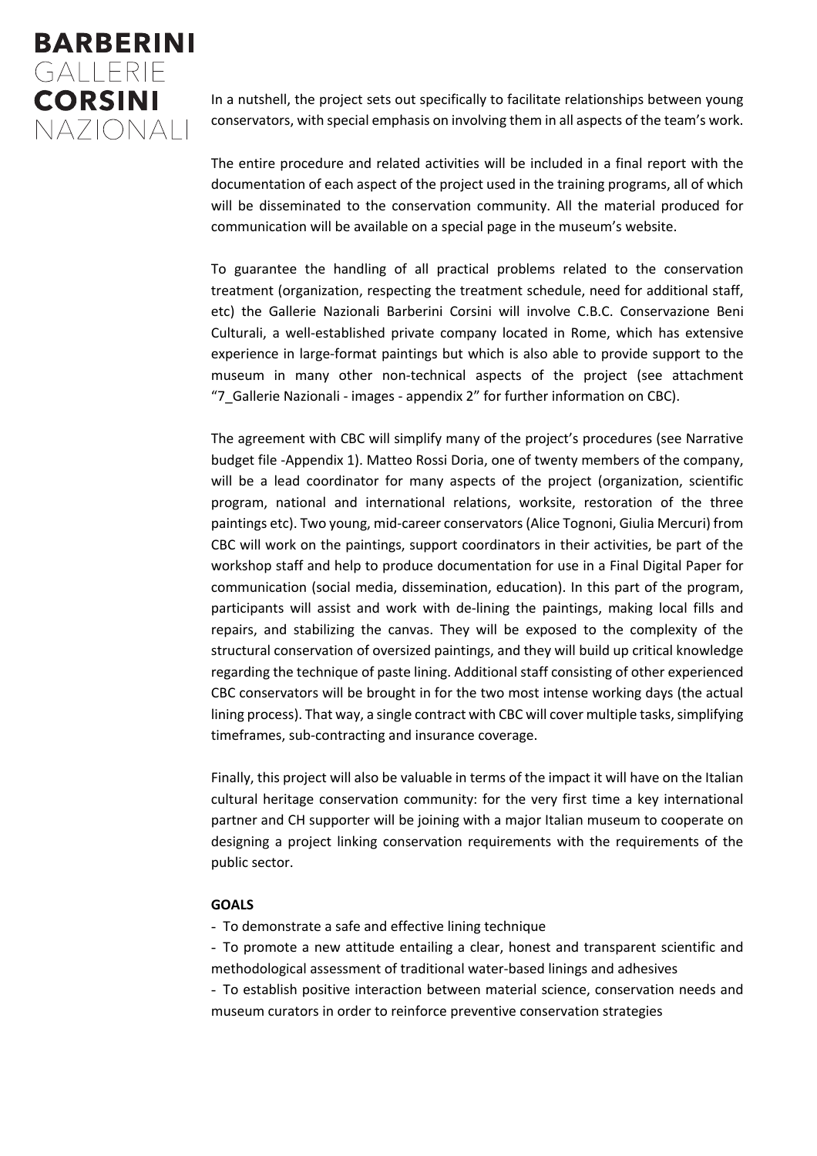

In a nutshell, the project sets out specifically to facilitate relationships between young conservators, with special emphasis on involving them in all aspects of the team's work.

The entire procedure and related activities will be included in a final report with the documentation of each aspect of the project used in the training programs, all of which will be disseminated to the conservation community. All the material produced for communication will be available on a special page in the museum's website.

To guarantee the handling of all practical problems related to the conservation treatment (organization, respecting the treatment schedule, need for additional staff, etc) the Gallerie Nazionali Barberini Corsini will involve C.B.C. Conservazione Beni Culturali, a well-established private company located in Rome, which has extensive experience in large-format paintings but which is also able to provide support to the museum in many other non-technical aspects of the project (see attachment "7\_Gallerie Nazionali - images - appendix 2" for further information on CBC).

The agreement with CBC will simplify many of the project's procedures (see Narrative budget file -Appendix 1). Matteo Rossi Doria, one of twenty members of the company, will be a lead coordinator for many aspects of the project (organization, scientific program, national and international relations, worksite, restoration of the three paintings etc). Two young, mid-career conservators (Alice Tognoni, Giulia Mercuri) from CBC will work on the paintings, support coordinators in their activities, be part of the workshop staff and help to produce documentation for use in a Final Digital Paper for communication (social media, dissemination, education). In this part of the program, participants will assist and work with de-lining the paintings, making local fills and repairs, and stabilizing the canvas. They will be exposed to the complexity of the structural conservation of oversized paintings, and they will build up critical knowledge regarding the technique of paste lining. Additional staff consisting of other experienced CBC conservators will be brought in for the two most intense working days (the actual lining process). That way, a single contract with CBC will cover multiple tasks, simplifying timeframes, sub-contracting and insurance coverage.

Finally, this project will also be valuable in terms of the impact it will have on the Italian cultural heritage conservation community: for the very first time a key international partner and CH supporter will be joining with a major Italian museum to cooperate on designing a project linking conservation requirements with the requirements of the public sector.

### **GOALS**

- To demonstrate a safe and effective lining technique

- To promote a new attitude entailing a clear, honest and transparent scientific and methodological assessment of traditional water-based linings and adhesives

- To establish positive interaction between material science, conservation needs and museum curators in order to reinforce preventive conservation strategies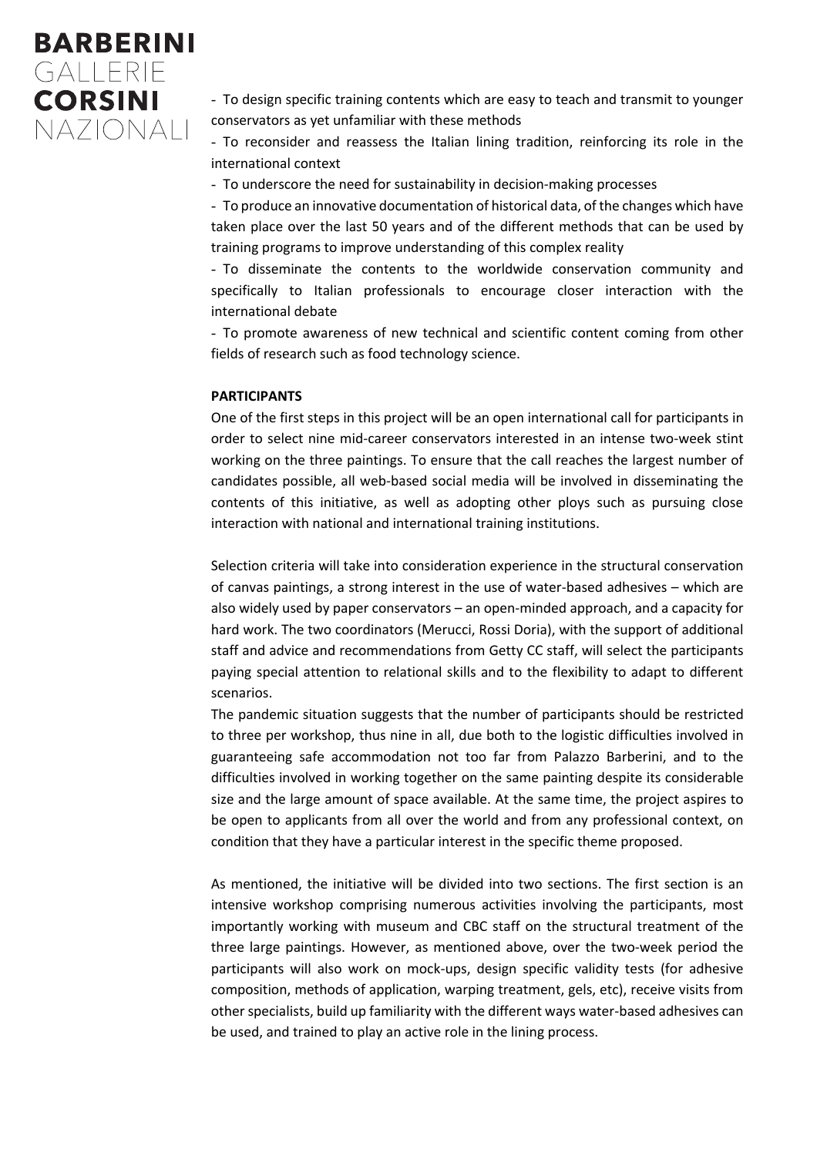

- To design specific training contents which are easy to teach and transmit to younger conservators as yet unfamiliar with these methods

- To reconsider and reassess the Italian lining tradition, reinforcing its role in the international context

- To underscore the need for sustainability in decision-making processes

- To produce an innovative documentation of historical data, of the changes which have taken place over the last 50 years and of the different methods that can be used by training programs to improve understanding of this complex reality

- To disseminate the contents to the worldwide conservation community and specifically to Italian professionals to encourage closer interaction with the international debate

- To promote awareness of new technical and scientific content coming from other fields of research such as food technology science.

### **PARTICIPANTS**

One of the first steps in this project will be an open international call for participants in order to select nine mid-career conservators interested in an intense two-week stint working on the three paintings. To ensure that the call reaches the largest number of candidates possible, all web-based social media will be involved in disseminating the contents of this initiative, as well as adopting other ploys such as pursuing close interaction with national and international training institutions.

Selection criteria will take into consideration experience in the structural conservation of canvas paintings, a strong interest in the use of water-based adhesives – which are also widely used by paper conservators – an open-minded approach, and a capacity for hard work. The two coordinators (Merucci, Rossi Doria), with the support of additional staff and advice and recommendations from Getty CC staff, will select the participants paying special attention to relational skills and to the flexibility to adapt to different scenarios.

The pandemic situation suggests that the number of participants should be restricted to three per workshop, thus nine in all, due both to the logistic difficulties involved in guaranteeing safe accommodation not too far from Palazzo Barberini, and to the difficulties involved in working together on the same painting despite its considerable size and the large amount of space available. At the same time, the project aspires to be open to applicants from all over the world and from any professional context, on condition that they have a particular interest in the specific theme proposed.

As mentioned, the initiative will be divided into two sections. The first section is an intensive workshop comprising numerous activities involving the participants, most importantly working with museum and CBC staff on the structural treatment of the three large paintings. However, as mentioned above, over the two-week period the participants will also work on mock-ups, design specific validity tests (for adhesive composition, methods of application, warping treatment, gels, etc), receive visits from other specialists, build up familiarity with the different ways water-based adhesives can be used, and trained to play an active role in the lining process.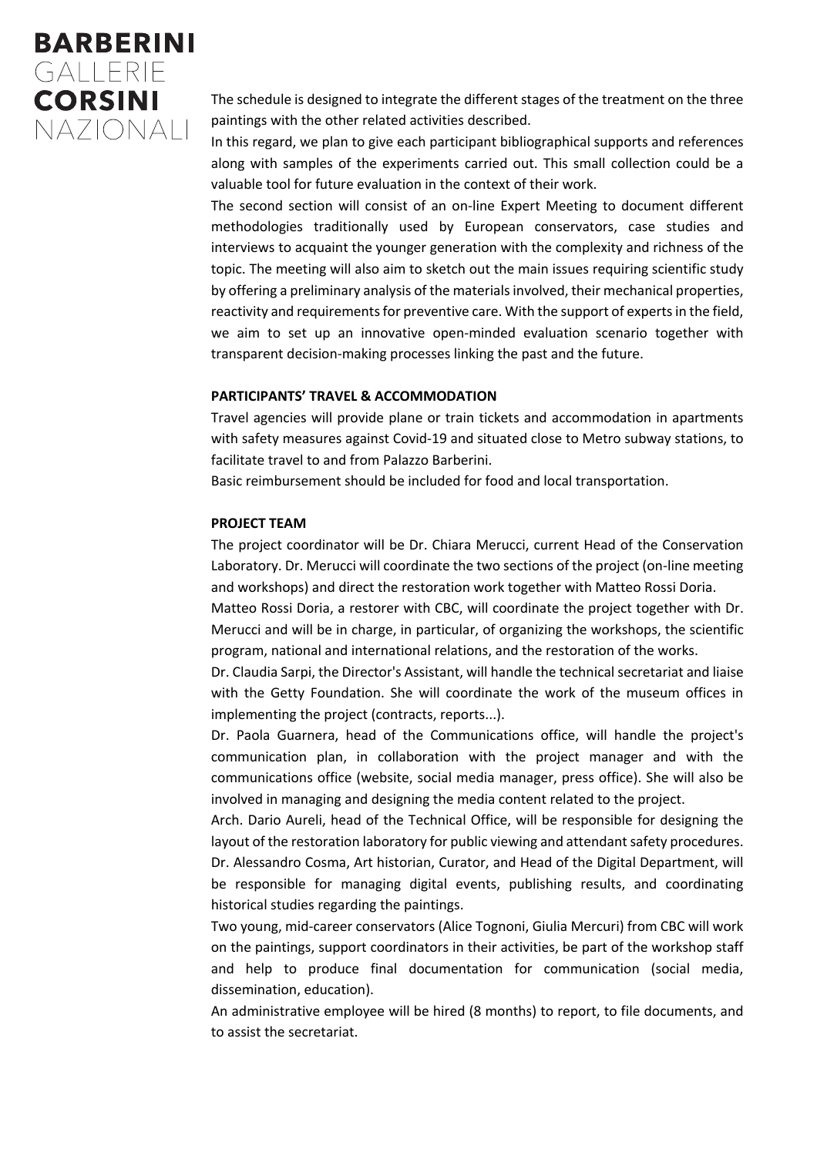

The schedule is designed to integrate the different stages of the treatment on the three paintings with the other related activities described.

In this regard, we plan to give each participant bibliographical supports and references along with samples of the experiments carried out. This small collection could be a valuable tool for future evaluation in the context of their work.

The second section will consist of an on-line Expert Meeting to document different methodologies traditionally used by European conservators, case studies and interviews to acquaint the younger generation with the complexity and richness of the topic. The meeting will also aim to sketch out the main issues requiring scientific study by offering a preliminary analysis of the materials involved, their mechanical properties, reactivity and requirements for preventive care. With the support of experts in the field, we aim to set up an innovative open-minded evaluation scenario together with transparent decision-making processes linking the past and the future.

#### **PARTICIPANTS' TRAVEL & ACCOMMODATION**

Travel agencies will provide plane or train tickets and accommodation in apartments with safety measures against Covid-19 and situated close to Metro subway stations, to facilitate travel to and from Palazzo Barberini.

Basic reimbursement should be included for food and local transportation.

#### **PROJECT TEAM**

The project coordinator will be Dr. Chiara Merucci, current Head of the Conservation Laboratory. Dr. Merucci will coordinate the two sections of the project (on-line meeting and workshops) and direct the restoration work together with Matteo Rossi Doria.

Matteo Rossi Doria, a restorer with CBC, will coordinate the project together with Dr. Merucci and will be in charge, in particular, of organizing the workshops, the scientific program, national and international relations, and the restoration of the works.

Dr. Claudia Sarpi, the Director's Assistant, will handle the technical secretariat and liaise with the Getty Foundation. She will coordinate the work of the museum offices in implementing the project (contracts, reports...).

Dr. Paola Guarnera, head of the Communications office, will handle the project's communication plan, in collaboration with the project manager and with the communications office (website, social media manager, press office). She will also be involved in managing and designing the media content related to the project.

Arch. Dario Aureli, head of the Technical Office, will be responsible for designing the layout of the restoration laboratory for public viewing and attendant safety procedures. Dr. Alessandro Cosma, Art historian, Curator, and Head of the Digital Department, will be responsible for managing digital events, publishing results, and coordinating historical studies regarding the paintings.

Two young, mid-career conservators (Alice Tognoni, Giulia Mercuri) from CBC will work on the paintings, support coordinators in their activities, be part of the workshop staff and help to produce final documentation for communication (social media, dissemination, education).

An administrative employee will be hired (8 months) to report, to file documents, and to assist the secretariat.